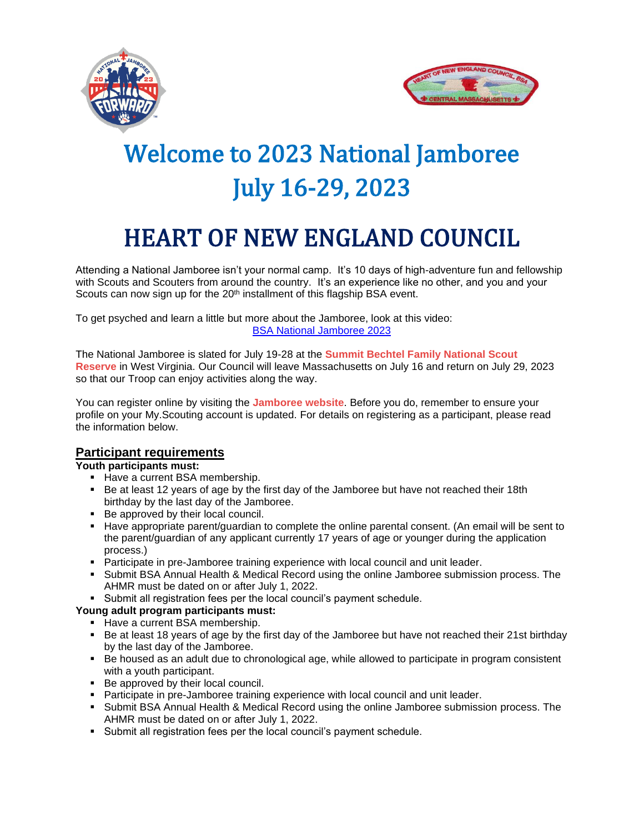



# Welcome to 2023 National Jamboree July 16-29, 2023

# HEART OF NEW ENGLAND COUNCIL

Attending a National Jamboree isn't your normal camp. It's 10 days of high-adventure fun and fellowship with Scouts and Scouters from around the country. It's an experience like no other, and you and your Scouts can now sign up for the  $20<sup>th</sup>$  installment of this flagship BSA event.

To get psyched and learn a little but more about the Jamboree, look at this video: [BSA National Jamboree 2023](https://youtu.be/veWwTG-gNUo)

The National Jamboree is slated for July 19-28 at the **Summit Bechtel Family [National](https://www.summitbsa.org/) Scout [Reserve](https://www.summitbsa.org/)** in West Virginia. Our Council will leave Massachusetts on July 16 and return on July 29, 2023 so that our Troop can enjoy activities along the way.

You can register online by visiting the **[Jamboree](https://jamboree.scouting.org/) website**. Before you do, remember to ensure your profile on your My.Scouting account is updated. For details on registering as a participant, please read the information below.

# **Participant requirements**

#### **Youth participants must:**

- **EXEC** Have a current BSA membership.
- Be at least 12 years of age by the first day of the Jamboree but have not reached their 18th birthday by the last day of the Jamboree.
- Be approved by their local council.
- Have appropriate parent/guardian to complete the online parental consent. (An email will be sent to the parent/guardian of any applicant currently 17 years of age or younger during the application process.)
- Participate in pre-Jamboree training experience with local council and unit leader.
- Submit BSA Annual Health & Medical Record using the online Jamboree submission process. The AHMR must be dated on or after July 1, 2022.
- Submit all registration fees per the local council's payment schedule.

#### **Young adult program participants must:**

- **EXEC** Have a current BSA membership.
- Be at least 18 years of age by the first day of the Jamboree but have not reached their 21st birthday by the last day of the Jamboree.
- Be housed as an adult due to chronological age, while allowed to participate in program consistent with a youth participant.
- Be approved by their local council.
- **Participate in pre-Jamboree training experience with local council and unit leader.**
- Submit BSA Annual Health & Medical Record using the online Jamboree submission process. The AHMR must be dated on or after July 1, 2022.
- Submit all registration fees per the local council's payment schedule.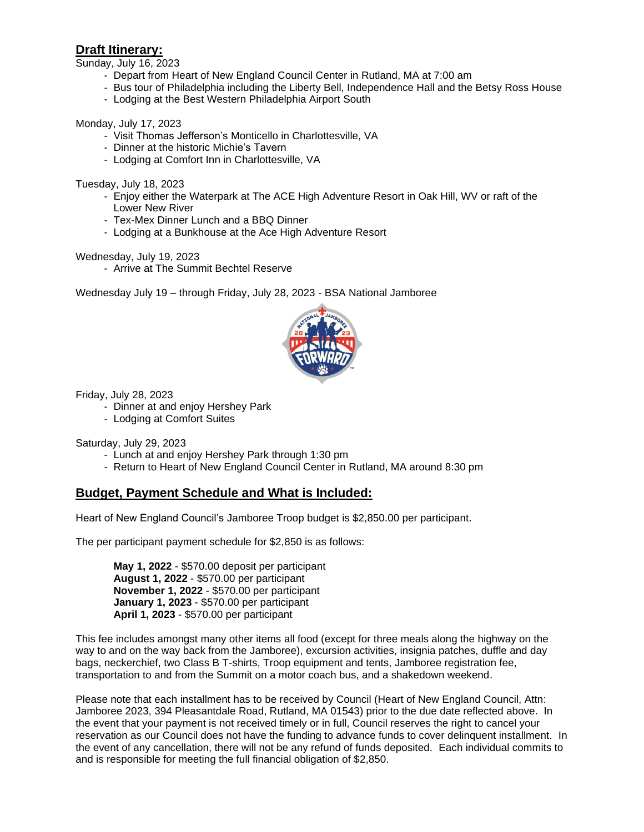## **Draft Itinerary:**

Sunday, July 16, 2023

- Depart from Heart of New England Council Center in Rutland, MA at 7:00 am
- Bus tour of Philadelphia including the Liberty Bell, Independence Hall and the Betsy Ross House
- Lodging at the Best Western Philadelphia Airport South

#### Monday, July 17, 2023

- Visit Thomas Jefferson's Monticello in Charlottesville, VA
- Dinner at the historic Michie's Tavern
- Lodging at Comfort Inn in Charlottesville, VA

Tuesday, July 18, 2023

- Enjoy either the Waterpark at The ACE High Adventure Resort in Oak Hill, WV or raft of the Lower New River
- Tex-Mex Dinner Lunch and a BBQ Dinner
- Lodging at a Bunkhouse at the Ace High Adventure Resort

Wednesday, July 19, 2023

- Arrive at The Summit Bechtel Reserve

Wednesday July 19 – through Friday, July 28, 2023 - BSA National Jamboree



Friday, July 28, 2023

- Dinner at and enjoy Hershey Park
- Lodging at Comfort Suites

Saturday, July 29, 2023

- Lunch at and enjoy Hershey Park through 1:30 pm
- Return to Heart of New England Council Center in Rutland, MA around 8:30 pm

### **Budget, Payment Schedule and What is Included:**

Heart of New England Council's Jamboree Troop budget is \$2,850.00 per participant.

The per participant payment schedule for \$2,850 is as follows:

**May 1, 2022** - \$570.00 deposit per participant **August 1, 2022** - \$570.00 per participant **November 1, 2022** - \$570.00 per participant **January 1, 2023** - \$570.00 per participant **April 1, 2023** - \$570.00 per participant

This fee includes amongst many other items all food (except for three meals along the highway on the way to and on the way back from the Jamboree), excursion activities, insignia patches, duffle and day bags, neckerchief, two Class B T-shirts, Troop equipment and tents, Jamboree registration fee, transportation to and from the Summit on a motor coach bus, and a shakedown weekend.

Please note that each installment has to be received by Council (Heart of New England Council, Attn: Jamboree 2023, 394 Pleasantdale Road, Rutland, MA 01543) prior to the due date reflected above. In the event that your payment is not received timely or in full, Council reserves the right to cancel your reservation as our Council does not have the funding to advance funds to cover delinquent installment. In the event of any cancellation, there will not be any refund of funds deposited. Each individual commits to and is responsible for meeting the full financial obligation of \$2,850.